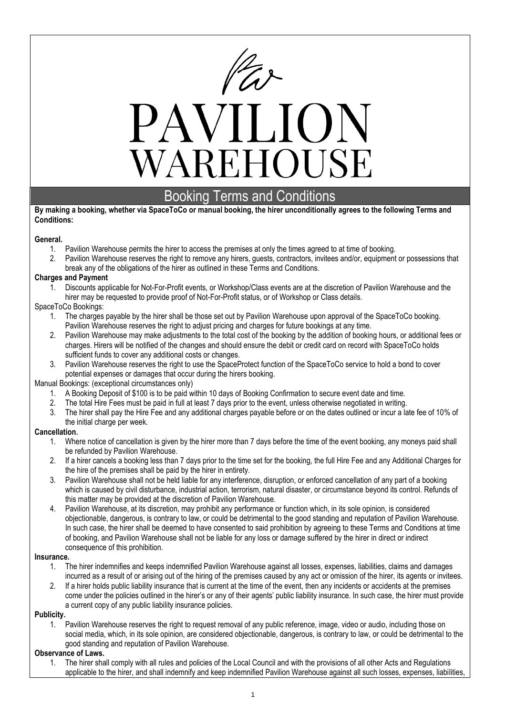

# PAVILION WAREHOUSE

# Booking Terms and Conditions

#### **By making a booking, whether via SpaceToCo or manual booking, the hirer unconditionally agrees to the following Terms and Conditions:**

# **General.**

- 1. Pavilion Warehouse permits the hirer to access the premises at only the times agreed to at time of booking.
- 2. Pavilion Warehouse reserves the right to remove any hirers, guests, contractors, invitees and/or, equipment or possessions that break any of the obligations of the hirer as outlined in these Terms and Conditions.

#### **Charges and Payment**

1. Discounts applicable for Not-For-Profit events, or Workshop/Class events are at the discretion of Pavilion Warehouse and the hirer may be requested to provide proof of Not-For-Profit status, or of Workshop or Class details.

# SpaceToCo Bookings:

- 1. The charges payable by the hirer shall be those set out by Pavilion Warehouse upon approval of the SpaceToCo booking. Pavilion Warehouse reserves the right to adjust pricing and charges for future bookings at any time.
- 2. Pavilion Warehouse may make adjustments to the total cost of the booking by the addition of booking hours, or additional fees or charges. Hirers will be notified of the changes and should ensure the debit or credit card on record with SpaceToCo holds sufficient funds to cover any additional costs or changes.
- 3. Pavilion Warehouse reserves the right to use the SpaceProtect function of the SpaceToCo service to hold a bond to cover potential expenses or damages that occur during the hirers booking.

# Manual Bookings: (exceptional circumstances only)

- 1. A Booking Deposit of \$100 is to be paid within 10 days of Booking Confirmation to secure event date and time.
- 2. The total Hire Fees must be paid in full at least 7 days prior to the event, unless otherwise negotiated in writing.
- 3. The hirer shall pay the Hire Fee and any additional charges payable before or on the dates outlined or incur a late fee of 10% of the initial charge per week.

# **Cancellation.**

- 1. Where notice of cancellation is given by the hirer more than 7 days before the time of the event booking, any moneys paid shall be refunded by Pavilion Warehouse.
- 2. If a hirer cancels a booking less than 7 days prior to the time set for the booking, the full Hire Fee and any Additional Charges for the hire of the premises shall be paid by the hirer in entirety.
- 3. Pavilion Warehouse shall not be held liable for any interference, disruption, or enforced cancellation of any part of a booking which is caused by civil disturbance, industrial action, terrorism, natural disaster, or circumstance beyond its control. Refunds of this matter may be provided at the discretion of Pavilion Warehouse.
- 4. Pavilion Warehouse, at its discretion, may prohibit any performance or function which, in its sole opinion, is considered objectionable, dangerous, is contrary to law, or could be detrimental to the good standing and reputation of Pavilion Warehouse. In such case, the hirer shall be deemed to have consented to said prohibition by agreeing to these Terms and Conditions at time of booking, and Pavilion Warehouse shall not be liable for any loss or damage suffered by the hirer in direct or indirect consequence of this prohibition.

#### **Insurance.**

- 1. The hirer indemnifies and keeps indemnified Pavilion Warehouse against all losses, expenses, liabilities, claims and damages incurred as a result of or arising out of the hiring of the premises caused by any act or omission of the hirer, its agents or invitees.
- 2. If a hirer holds public liability insurance that is current at the time of the event, then any incidents or accidents at the premises come under the policies outlined in the hirer's or any of their agents' public liability insurance. In such case, the hirer must provide a current copy of any public liability insurance policies.

# **Publicity.**

1. Pavilion Warehouse reserves the right to request removal of any public reference, image, video or audio, including those on social media, which, in its sole opinion, are considered objectionable, dangerous, is contrary to law, or could be detrimental to the good standing and reputation of Pavilion Warehouse.

# **Observance of Laws.**

1. The hirer shall comply with all rules and policies of the Local Council and with the provisions of all other Acts and Regulations applicable to the hirer, and shall indemnify and keep indemnified Pavilion Warehouse against all such losses, expenses, liabilities,